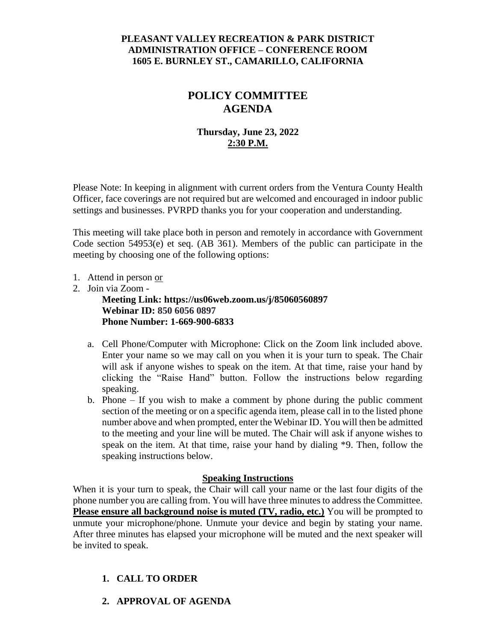## **PLEASANT VALLEY RECREATION & PARK DISTRICT ADMINISTRATION OFFICE – CONFERENCE ROOM 1605 E. BURNLEY ST., CAMARILLO, CALIFORNIA**

# **POLICY COMMITTEE AGENDA**

## **Thursday, June 23, 2022 2:30 P.M.**

Please Note: In keeping in alignment with current orders from the Ventura County Health Officer, face coverings are not required but are welcomed and encouraged in indoor public settings and businesses. PVRPD thanks you for your cooperation and understanding.

This meeting will take place both in person and remotely in accordance with Government Code section 54953(e) et seq. (AB 361). Members of the public can participate in the meeting by choosing one of the following options:

- 1. Attend in person or
- 2. Join via Zoom -

**Meeting Link: https://us06web.zoom.us/j/85060560897 Webinar ID: 850 6056 0897 Phone Number: 1-669-900-6833**

- a. Cell Phone/Computer with Microphone: Click on the Zoom link included above. Enter your name so we may call on you when it is your turn to speak. The Chair will ask if anyone wishes to speak on the item. At that time, raise your hand by clicking the "Raise Hand" button. Follow the instructions below regarding speaking.
- b. Phone If you wish to make a comment by phone during the public comment section of the meeting or on a specific agenda item, please call in to the listed phone number above and when prompted, enter the Webinar ID. You will then be admitted to the meeting and your line will be muted. The Chair will ask if anyone wishes to speak on the item. At that time, raise your hand by dialing \*9. Then, follow the speaking instructions below.

#### **Speaking Instructions**

When it is your turn to speak, the Chair will call your name or the last four digits of the phone number you are calling from. You will have three minutes to address the Committee. **Please ensure all background noise is muted (TV, radio, etc.)** You will be prompted to unmute your microphone/phone. Unmute your device and begin by stating your name. After three minutes has elapsed your microphone will be muted and the next speaker will be invited to speak.

# **1. CALL TO ORDER**

**2. APPROVAL OF AGENDA**